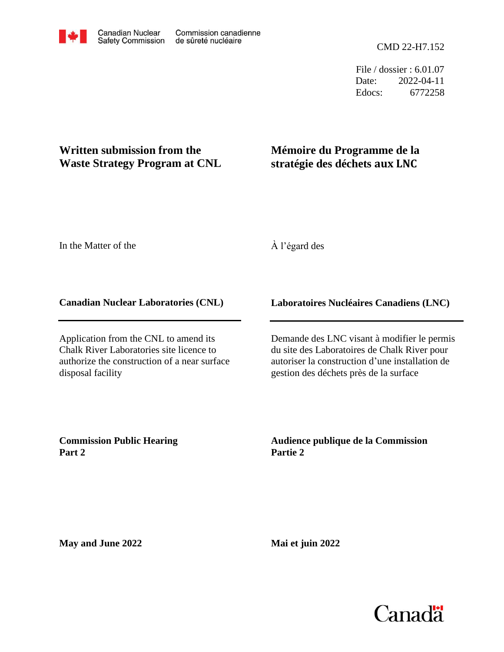File / dossier : 6.01.07 Date: 2022-04-11 Edocs: 6772258

## **Written submission from the Waste Strategy Program at CNL**

# **Mémoire du Programme de la stratégie des déchets aux LNC**

In the Matter of the

À l'égard des

### **Canadian Nuclear Laboratories (CNL)**

Application from the CNL to amend its Chalk River Laboratories site licence to authorize the construction of a near surface disposal facility

## **Laboratoires Nucléaires Canadiens (LNC)**

Demande des LNC visant à modifier le permis du site des Laboratoires de Chalk River pour autoriser la construction d'une installation de gestion des déchets près de la surface

**Commission Public Hearing Part 2**

**Audience publique de la Commission Partie 2**

**May and June 2022**

**Mai et juin 2022**

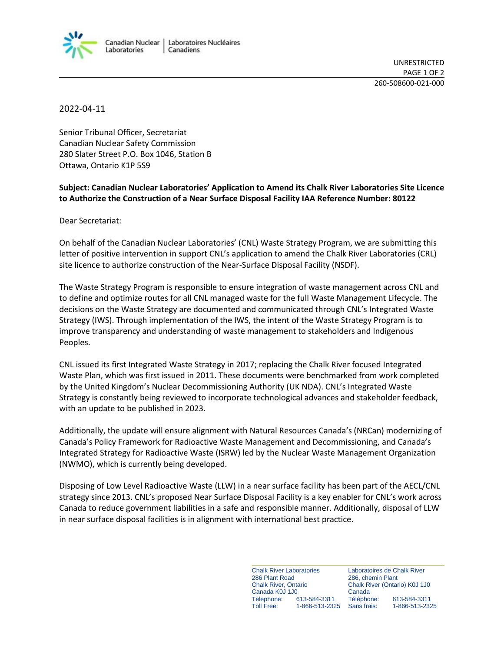

UNRESTRICTED PAGE 1 OF 2 260-508600-021-000

#### 2022-04-11

Senior Tribunal Officer, Secretariat Canadian Nuclear Safety Commission 280 Slater Street P.O. Box 1046, Station B Ottawa, Ontario K1P 5S9

#### **Subject: Canadian Nuclear Laboratories' Application to Amend its Chalk River Laboratories Site Licence to Authorize the Construction of a Near Surface Disposal Facility IAA Reference Number: 80122**

Dear Secretariat:

On behalf of the Canadian Nuclear Laboratories' (CNL) Waste Strategy Program, we are submitting this letter of positive intervention in support CNL's application to amend the Chalk River Laboratories (CRL) site licence to authorize construction of the Near-Surface Disposal Facility (NSDF).

The Waste Strategy Program is responsible to ensure integration of waste management across CNL and to define and optimize routes for all CNL managed waste for the full Waste Management Lifecycle. The decisions on the Waste Strategy are documented and communicated through CNL's Integrated Waste Strategy (IWS). Through implementation of the IWS, the intent of the Waste Strategy Program is to improve transparency and understanding of waste management to stakeholders and Indigenous Peoples.

CNL issued its first Integrated Waste Strategy in 2017; replacing the Chalk River focused Integrated Waste Plan, which was first issued in 2011. These documents were benchmarked from work completed by the United Kingdom's Nuclear Decommissioning Authority (UK NDA). CNL's Integrated Waste Strategy is constantly being reviewed to incorporate technological advances and stakeholder feedback, with an update to be published in 2023.

Additionally, the update will ensure alignment with Natural Resources Canada's (NRCan) modernizing of Canada's Policy Framework for Radioactive Waste Management and Decommissioning, and Canada's Integrated Strategy for Radioactive Waste (ISRW) led by the Nuclear Waste Management Organization (NWMO), which is currently being developed.

Disposing of Low Level Radioactive Waste (LLW) in a near surface facility has been part of the AECL/CNL strategy since 2013. CNL's proposed Near Surface Disposal Facility is a key enabler for CNL's work across Canada to reduce government liabilities in a safe and responsible manner. Additionally, disposal of LLW in near surface disposal facilities is in alignment with international best practice.

> Chalk River Laboratories 286 Plant Road Chalk River, Ontario Canada K0J 1J0 Telephone: 613-584-3311 1-866-513-2325 Canada

Laboratoires de Chalk River 286, chemin Plant Chalk River (Ontario) K0J 1J0 Téléphone: 613-584-3311 Sans frais: 1-866-513-2325